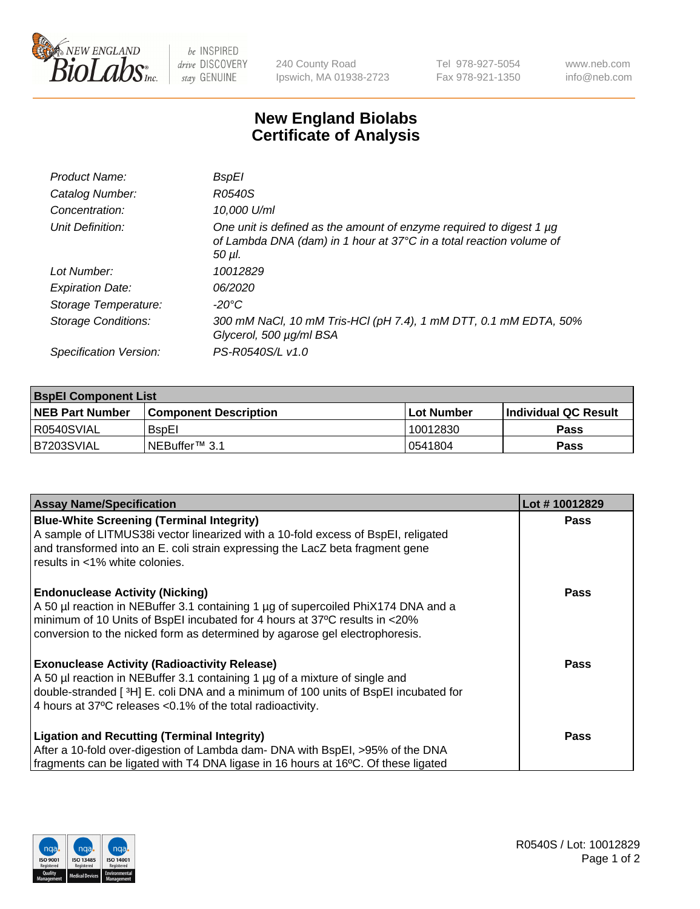

be INSPIRED drive DISCOVERY stay GENUINE

240 County Road Ipswich, MA 01938-2723 Tel 978-927-5054 Fax 978-921-1350 www.neb.com info@neb.com

## **New England Biolabs Certificate of Analysis**

| <b>BspEl</b>                                                                                                                                         |
|------------------------------------------------------------------------------------------------------------------------------------------------------|
| R0540S                                                                                                                                               |
| 10,000 U/ml                                                                                                                                          |
| One unit is defined as the amount of enzyme required to digest 1 µg<br>of Lambda DNA (dam) in 1 hour at 37°C in a total reaction volume of<br>50 µI. |
| 10012829                                                                                                                                             |
| 06/2020                                                                                                                                              |
| -20°C                                                                                                                                                |
| 300 mM NaCl, 10 mM Tris-HCl (pH 7.4), 1 mM DTT, 0.1 mM EDTA, 50%<br>Glycerol, 500 µg/ml BSA                                                          |
| PS-R0540S/L v1.0                                                                                                                                     |
|                                                                                                                                                      |

| <b>BspEl Component List</b> |                              |             |                       |  |
|-----------------------------|------------------------------|-------------|-----------------------|--|
| <b>NEB Part Number</b>      | <b>Component Description</b> | ⊺Lot Number | ∣Individual QC Result |  |
| l R0540SVIAL                | <b>B</b> spEI                | 10012830    | <b>Pass</b>           |  |
| I B7203SVIAL                | INEBuffer™ 3.1               | 0541804     | <b>Pass</b>           |  |

| <b>Assay Name/Specification</b>                                                    | Lot #10012829 |
|------------------------------------------------------------------------------------|---------------|
| <b>Blue-White Screening (Terminal Integrity)</b>                                   | <b>Pass</b>   |
| A sample of LITMUS38i vector linearized with a 10-fold excess of BspEI, religated  |               |
| and transformed into an E. coli strain expressing the LacZ beta fragment gene      |               |
| results in <1% white colonies.                                                     |               |
| <b>Endonuclease Activity (Nicking)</b>                                             | <b>Pass</b>   |
| A 50 µl reaction in NEBuffer 3.1 containing 1 µg of supercoiled PhiX174 DNA and a  |               |
| minimum of 10 Units of BspEI incubated for 4 hours at 37°C results in <20%         |               |
| conversion to the nicked form as determined by agarose gel electrophoresis.        |               |
| <b>Exonuclease Activity (Radioactivity Release)</b>                                | Pass          |
| A 50 µl reaction in NEBuffer 3.1 containing 1 µg of a mixture of single and        |               |
| double-stranded [3H] E. coli DNA and a minimum of 100 units of BspEI incubated for |               |
| 4 hours at 37°C releases < 0.1% of the total radioactivity.                        |               |
| <b>Ligation and Recutting (Terminal Integrity)</b>                                 | <b>Pass</b>   |
| After a 10-fold over-digestion of Lambda dam- DNA with BspEI, >95% of the DNA      |               |
| fragments can be ligated with T4 DNA ligase in 16 hours at 16°C. Of these ligated  |               |